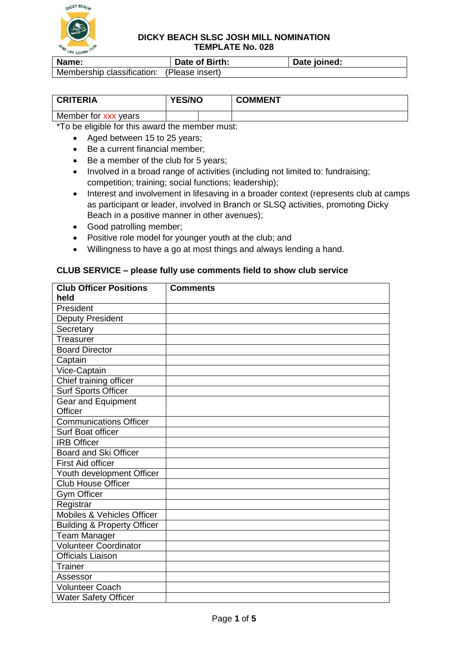

| Name:                                      | Date of Birth: | Date joined: |
|--------------------------------------------|----------------|--------------|
| Membership classification: (Please insert) |                |              |

| <b>CRITERIA</b>      | <b>YES/NO</b> |  | <b>COMMENT</b> |
|----------------------|---------------|--|----------------|
| Member for xxx years |               |  |                |

\*To be eligible for this award the member must:

- Aged between 15 to 25 years;
- Be a current financial member;
- Be a member of the club for 5 years:
- Involved in a broad range of activities (including not limited to: fundraising: competition; training; social functions; leadership);
- Interest and involvement in lifesaving in a broader context (represents club at camps as participant or leader, involved in Branch or SLSQ activities, promoting Dicky Beach in a positive manner in other avenues);
- Good patrolling member;
- Positive role model for younger youth at the club; and
- Willingness to have a go at most things and always lending a hand.

#### **Club Officer Positions held Comments President** Deputy President **Secretary Treasurer** Board Director **Captain** Vice-Captain Chief training officer Surf Sports Officer Gear and Equipment **Officer** Communications Officer Surf Boat officer IRB Officer Board and Ski Officer First Aid officer Youth development Officer Club House Officer Gym Officer **Registrar** Mobiles & Vehicles Officer Building & Property Officer Team Manager Volunteer Coordinator Officials Liaison **Trainer** Assessor Volunteer Coach Water Safety Officer

#### **CLUB SERVICE – please fully use comments field to show club service**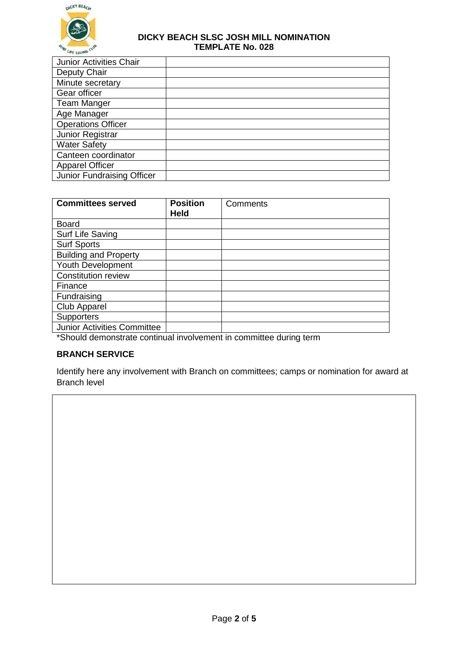

| <b>Junior Activities Chair</b> |  |
|--------------------------------|--|
| Deputy Chair                   |  |
| Minute secretary               |  |
| Gear officer                   |  |
| <b>Team Manger</b>             |  |
| Age Manager                    |  |
| <b>Operations Officer</b>      |  |
| Junior Registrar               |  |
| <b>Water Safety</b>            |  |
| Canteen coordinator            |  |
| <b>Apparel Officer</b>         |  |
| Junior Fundraising Officer     |  |

| <b>Committees served</b>           | <b>Position</b><br><b>Held</b> | Comments |
|------------------------------------|--------------------------------|----------|
| <b>Board</b>                       |                                |          |
| Surf Life Saving                   |                                |          |
| <b>Surf Sports</b>                 |                                |          |
| <b>Building and Property</b>       |                                |          |
| Youth Development                  |                                |          |
| <b>Constitution review</b>         |                                |          |
| Finance                            |                                |          |
| Fundraising                        |                                |          |
| <b>Club Apparel</b>                |                                |          |
| <b>Supporters</b>                  |                                |          |
| <b>Junior Activities Committee</b> |                                |          |

\*Should demonstrate continual involvement in committee during term

# **BRANCH SERVICE**

Identify here any involvement with Branch on committees; camps or nomination for award at Branch level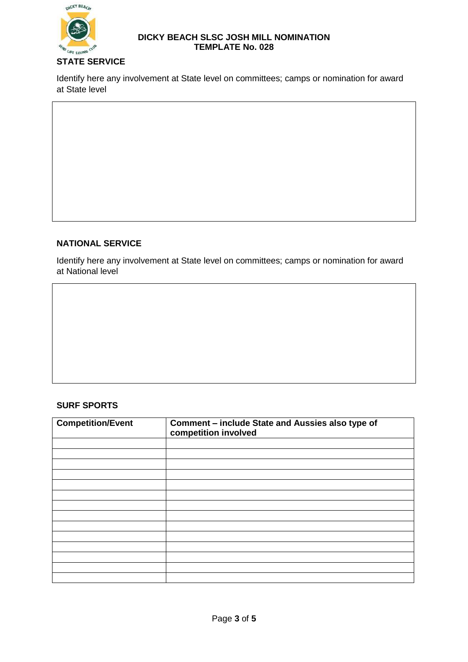

Identify here any involvement at State level on committees; camps or nomination for award at State level

# **NATIONAL SERVICE**

Identify here any involvement at State level on committees; camps or nomination for award at National level

## **SURF SPORTS**

| <b>Competition/Event</b> | Comment - include State and Aussies also type of<br>competition involved |  |
|--------------------------|--------------------------------------------------------------------------|--|
|                          |                                                                          |  |
|                          |                                                                          |  |
|                          |                                                                          |  |
|                          |                                                                          |  |
|                          |                                                                          |  |
|                          |                                                                          |  |
|                          |                                                                          |  |
|                          |                                                                          |  |
|                          |                                                                          |  |
|                          |                                                                          |  |
|                          |                                                                          |  |
|                          |                                                                          |  |
|                          |                                                                          |  |
|                          |                                                                          |  |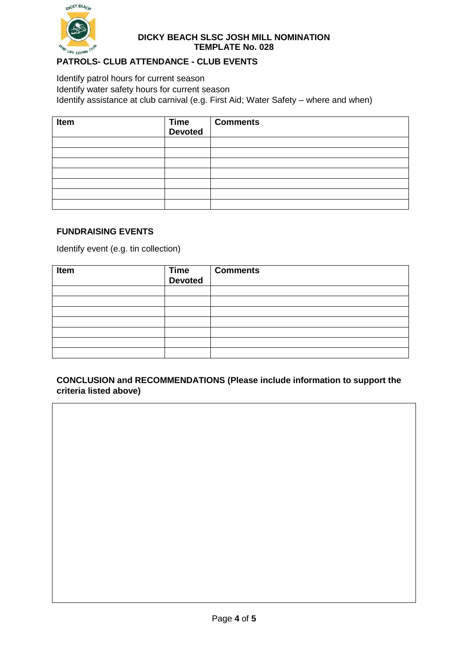

## **PATROLS- CLUB ATTENDANCE - CLUB EVENTS**

Identify patrol hours for current season Identify water safety hours for current season Identify assistance at club carnival (e.g. First Aid; Water Safety – where and when)

| Item | Time<br>Devoted | <b>Comments</b> |
|------|-----------------|-----------------|
|      |                 |                 |
|      |                 |                 |
|      |                 |                 |
|      |                 |                 |
|      |                 |                 |
|      |                 |                 |
|      |                 |                 |

### **FUNDRAISING EVENTS**

Identify event (e.g. tin collection)

| Item | Time<br>Devoted | <b>Comments</b> |
|------|-----------------|-----------------|
|      |                 |                 |
|      |                 |                 |
|      |                 |                 |
|      |                 |                 |
|      |                 |                 |
|      |                 |                 |
|      |                 |                 |

### **CONCLUSION and RECOMMENDATIONS (Please include information to support the criteria listed above)**